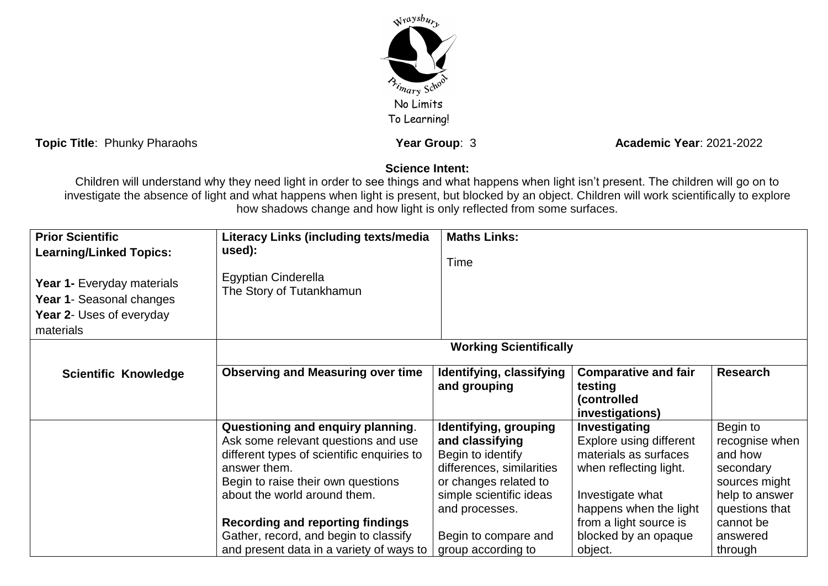

**Topic Title**: Phunky Pharaohs **Year Group**: 3 **Academic Year:** 2021-2022

## **Science Intent:**

Children will understand why they need light in order to see things and what happens when light isn't present. The children will go on to investigate the absence of light and what happens when light is present, but blocked by an object. Children will work scientifically to explore how shadows change and how light is only reflected from some surfaces.

| <b>Prior Scientific</b><br><b>Learning/Linked Topics:</b><br>Year 1- Everyday materials<br>Year 1- Seasonal changes<br>Year 2- Uses of everyday<br>materials | Literacy Links (including texts/media<br>used):<br>Egyptian Cinderella<br>The Story of Tutankhamun                                                                                                           | <b>Maths Links:</b><br>Time                                                                                                                                      |                                                                                                                                           |                                                                                                         |
|--------------------------------------------------------------------------------------------------------------------------------------------------------------|--------------------------------------------------------------------------------------------------------------------------------------------------------------------------------------------------------------|------------------------------------------------------------------------------------------------------------------------------------------------------------------|-------------------------------------------------------------------------------------------------------------------------------------------|---------------------------------------------------------------------------------------------------------|
|                                                                                                                                                              | <b>Working Scientifically</b>                                                                                                                                                                                |                                                                                                                                                                  |                                                                                                                                           |                                                                                                         |
| <b>Scientific Knowledge</b>                                                                                                                                  | <b>Observing and Measuring over time</b>                                                                                                                                                                     | Identifying, classifying<br>and grouping                                                                                                                         | <b>Comparative and fair</b><br>testing<br>(controlled<br>investigations)                                                                  | <b>Research</b>                                                                                         |
|                                                                                                                                                              | Questioning and enquiry planning.<br>Ask some relevant questions and use<br>different types of scientific enquiries to<br>answer them.<br>Begin to raise their own questions<br>about the world around them. | Identifying, grouping<br>and classifying<br>Begin to identify<br>differences, similarities<br>or changes related to<br>simple scientific ideas<br>and processes. | Investigating<br>Explore using different<br>materials as surfaces<br>when reflecting light.<br>Investigate what<br>happens when the light | Begin to<br>recognise when<br>and how<br>secondary<br>sources might<br>help to answer<br>questions that |
|                                                                                                                                                              | <b>Recording and reporting findings</b><br>Gather, record, and begin to classify<br>and present data in a variety of ways to                                                                                 | Begin to compare and<br>group according to                                                                                                                       | from a light source is<br>blocked by an opaque<br>object.                                                                                 | cannot be<br>answered<br>through                                                                        |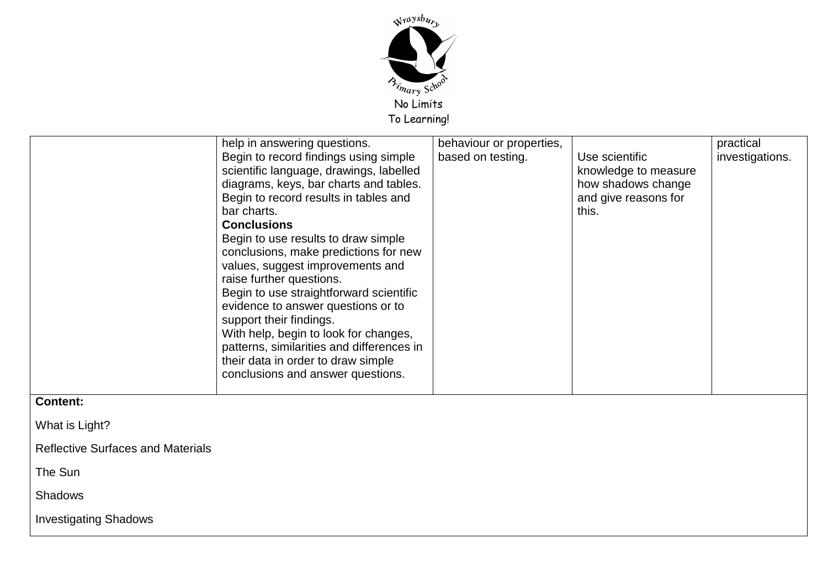

|                                          | help in answering questions.<br>Begin to record findings using simple<br>scientific language, drawings, labelled<br>diagrams, keys, bar charts and tables.<br>Begin to record results in tables and<br>bar charts.<br><b>Conclusions</b><br>Begin to use results to draw simple<br>conclusions, make predictions for new<br>values, suggest improvements and<br>raise further questions.<br>Begin to use straightforward scientific<br>evidence to answer questions or to<br>support their findings.<br>With help, begin to look for changes,<br>patterns, similarities and differences in<br>their data in order to draw simple<br>conclusions and answer questions. | behaviour or properties,<br>based on testing. | Use scientific<br>knowledge to measure<br>how shadows change<br>and give reasons for<br>this. | practical<br>investigations. |
|------------------------------------------|-----------------------------------------------------------------------------------------------------------------------------------------------------------------------------------------------------------------------------------------------------------------------------------------------------------------------------------------------------------------------------------------------------------------------------------------------------------------------------------------------------------------------------------------------------------------------------------------------------------------------------------------------------------------------|-----------------------------------------------|-----------------------------------------------------------------------------------------------|------------------------------|
| <b>Content:</b>                          |                                                                                                                                                                                                                                                                                                                                                                                                                                                                                                                                                                                                                                                                       |                                               |                                                                                               |                              |
| What is Light?                           |                                                                                                                                                                                                                                                                                                                                                                                                                                                                                                                                                                                                                                                                       |                                               |                                                                                               |                              |
| <b>Reflective Surfaces and Materials</b> |                                                                                                                                                                                                                                                                                                                                                                                                                                                                                                                                                                                                                                                                       |                                               |                                                                                               |                              |
| The Sun                                  |                                                                                                                                                                                                                                                                                                                                                                                                                                                                                                                                                                                                                                                                       |                                               |                                                                                               |                              |
| <b>Shadows</b>                           |                                                                                                                                                                                                                                                                                                                                                                                                                                                                                                                                                                                                                                                                       |                                               |                                                                                               |                              |
| <b>Investigating Shadows</b>             |                                                                                                                                                                                                                                                                                                                                                                                                                                                                                                                                                                                                                                                                       |                                               |                                                                                               |                              |